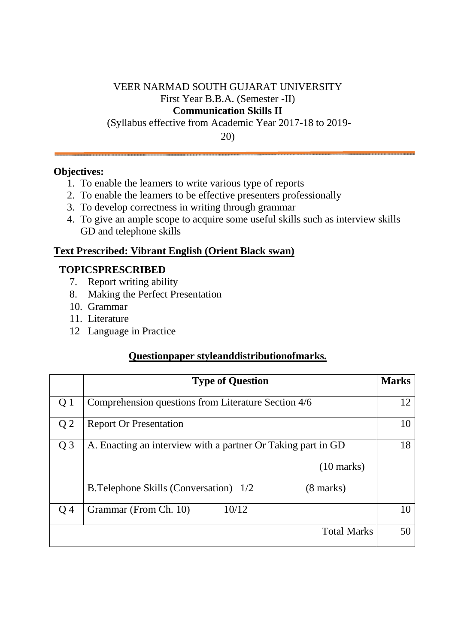## VEER NARMAD SOUTH GUJARAT UNIVERSITY First Year B.B.A. (Semester -II) **Communication Skills II**

(Syllabus effective from Academic Year 2017-18 to 2019-

20)

### **Objectives:**

- 1. To enable the learners to write various type of reports
- 2. To enable the learners to be effective presenters professionally
- 3. To develop correctness in writing through grammar
- 4. To give an ample scope to acquire some useful skills such as interview skills GD and telephone skills

### **Text Prescribed: Vibrant English (Orient Black swan)**

### **TOPICSPRESCRIBED**

- 7. Report writing ability
- 8. Making the Perfect Presentation
- 10. Grammar
- 11. Literature
- 12 Language in Practice

## **Questionpaper styleanddistributionofmarks.**

|                | <b>Type of Question</b>                                             | <b>Marks</b> |
|----------------|---------------------------------------------------------------------|--------------|
| Q 1            | Comprehension questions from Literature Section 4/6                 | 12           |
| Q <sub>2</sub> | <b>Report Or Presentation</b>                                       | 10           |
| $Q_3$          | A. Enacting an interview with a partner Or Taking part in GD        | 18           |
|                | $(10 \text{ marks})$                                                |              |
|                | <b>B.Telephone Skills (Conversation)</b> 1/2<br>$(8 \text{ marks})$ |              |
| O 4            | 10/12<br>Grammar (From Ch. 10)                                      | 10           |
|                | <b>Total Marks</b>                                                  | 50           |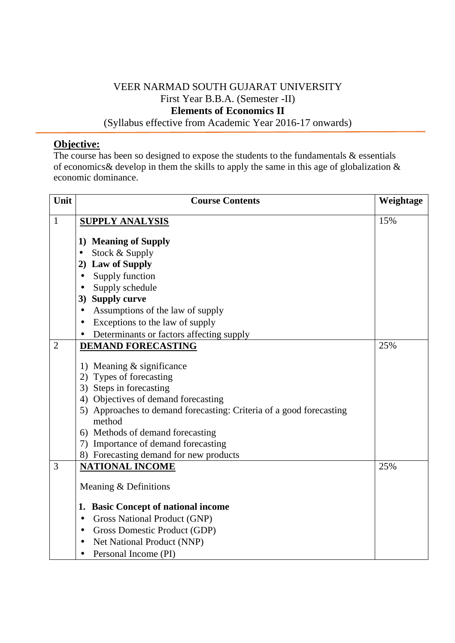# VEER NARMAD SOUTH GUJARAT UNIVERSITY First Year B.B.A. (Semester -II) **Elements of Economics II**

(Syllabus effective from Academic Year 2016-17 onwards)

## **Objective:**

The course has been so designed to expose the students to the fundamentals  $\&$  essentials of economics& develop in them the skills to apply the same in this age of globalization & economic dominance.

| Unit           | <b>Course Contents</b>                                                        | Weightage |
|----------------|-------------------------------------------------------------------------------|-----------|
| $\mathbf{1}$   | <b>SUPPLY ANALYSIS</b>                                                        | 15%       |
|                | 1) Meaning of Supply                                                          |           |
|                | Stock & Supply<br>$\bullet$                                                   |           |
|                | <b>Law of Supply</b><br>2)                                                    |           |
|                | Supply function<br>$\bullet$                                                  |           |
|                | Supply schedule<br>$\bullet$                                                  |           |
|                | <b>Supply curve</b><br>3)                                                     |           |
|                | Assumptions of the law of supply<br>$\bullet$                                 |           |
|                | Exceptions to the law of supply<br>$\bullet$                                  |           |
|                | Determinants or factors affecting supply                                      |           |
| $\overline{2}$ | <b>DEMAND FORECASTING</b>                                                     | 25%       |
|                |                                                                               |           |
|                | 1) Meaning & significance                                                     |           |
|                | Types of forecasting<br>2)                                                    |           |
|                | 3) Steps in forecasting                                                       |           |
|                | 4) Objectives of demand forecasting                                           |           |
|                | 5) Approaches to demand forecasting: Criteria of a good forecasting<br>method |           |
|                | 6) Methods of demand forecasting                                              |           |
|                | Importance of demand forecasting<br>7)                                        |           |
|                | 8) Forecasting demand for new products                                        |           |
| 3              | <b>NATIONAL INCOME</b>                                                        | 25%       |
|                | Meaning & Definitions                                                         |           |
|                | <b>Basic Concept of national income</b><br>1.                                 |           |
|                | Gross National Product (GNP)<br>$\bullet$                                     |           |
|                | Gross Domestic Product (GDP)<br>$\bullet$                                     |           |
|                | Net National Product (NNP)                                                    |           |
|                | Personal Income (PI)<br>$\bullet$                                             |           |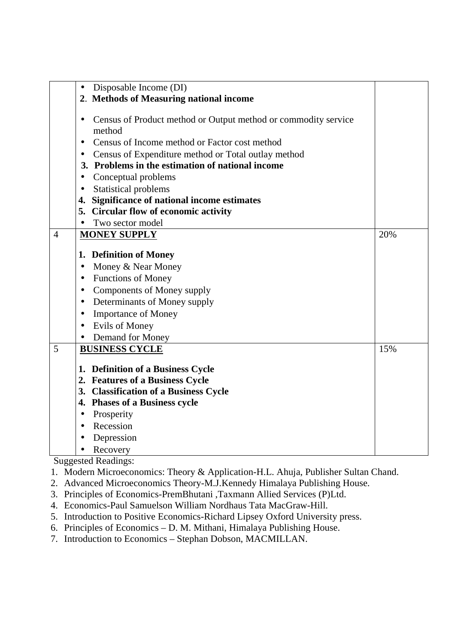|                | Disposable Income (DI)<br>$\bullet$                                                                                                                                                                        |     |
|----------------|------------------------------------------------------------------------------------------------------------------------------------------------------------------------------------------------------------|-----|
|                | 2. Methods of Measuring national income                                                                                                                                                                    |     |
|                | Census of Product method or Output method or commodity service<br>$\bullet$<br>method<br>Census of Income method or Factor cost method<br>$\bullet$<br>Census of Expenditure method or Total outlay method |     |
|                | 3. Problems in the estimation of national income                                                                                                                                                           |     |
|                | Conceptual problems<br>$\bullet$                                                                                                                                                                           |     |
|                | <b>Statistical problems</b><br>$\bullet$                                                                                                                                                                   |     |
|                | Significance of national income estimates<br>4.                                                                                                                                                            |     |
|                | 5. Circular flow of economic activity<br>Two sector model                                                                                                                                                  |     |
| $\overline{4}$ | $\bullet$<br><b>MONEY SUPPLY</b>                                                                                                                                                                           | 20% |
|                |                                                                                                                                                                                                            |     |
|                | <b>Definition of Money</b><br>1.                                                                                                                                                                           |     |
|                | Money & Near Money<br>$\bullet$                                                                                                                                                                            |     |
|                | <b>Functions of Money</b><br>$\bullet$                                                                                                                                                                     |     |
|                | Components of Money supply<br>$\bullet$                                                                                                                                                                    |     |
|                | Determinants of Money supply<br>$\bullet$                                                                                                                                                                  |     |
|                | <b>Importance of Money</b><br>$\bullet$                                                                                                                                                                    |     |
|                | <b>Evils of Money</b><br>$\bullet$                                                                                                                                                                         |     |
|                | Demand for Money                                                                                                                                                                                           |     |
| 5              | <b>BUSINESS CYCLE</b>                                                                                                                                                                                      | 15% |
|                | <b>Definition of a Business Cycle</b><br>1.                                                                                                                                                                |     |
|                | 2. Features of a Business Cycle                                                                                                                                                                            |     |
|                | 3. Classification of a Business Cycle                                                                                                                                                                      |     |
|                | 4. Phases of a Business cycle                                                                                                                                                                              |     |
|                | Prosperity<br>$\bullet$                                                                                                                                                                                    |     |
|                | Recession<br>$\bullet$                                                                                                                                                                                     |     |
|                | Depression<br>$\bullet$                                                                                                                                                                                    |     |
|                | Recovery                                                                                                                                                                                                   |     |

- 1. Modern Microeconomics: Theory & Application-H.L. Ahuja, Publisher Sultan Chand.
- 2. Advanced Microeconomics Theory-M.J.Kennedy Himalaya Publishing House.
- 3. Principles of Economics-PremBhutani ,Taxmann Allied Services (P)Ltd.
- 4. Economics-Paul Samuelson William Nordhaus Tata MacGraw-Hill.
- 5. Introduction to Positive Economics-Richard Lipsey Oxford University press.
- 6. Principles of Economics D. M. Mithani, Himalaya Publishing House.
- 7. Introduction to Economics Stephan Dobson, MACMILLAN.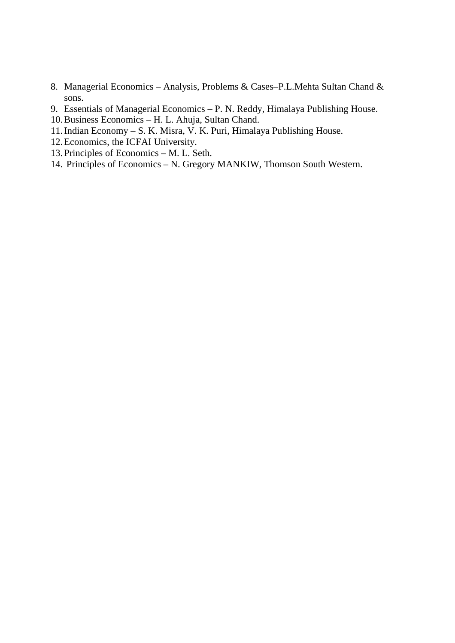- 8. Managerial Economics Analysis, Problems & Cases–P.L.Mehta Sultan Chand & sons.
- 9. Essentials of Managerial Economics P. N. Reddy, Himalaya Publishing House.
- 10.Business Economics H. L. Ahuja, Sultan Chand.
- 11.Indian Economy S. K. Misra, V. K. Puri, Himalaya Publishing House.
- 12.Economics, the ICFAI University.
- 13. Principles of Economics M. L. Seth.
- 14. Principles of Economics N. Gregory MANKIW, Thomson South Western.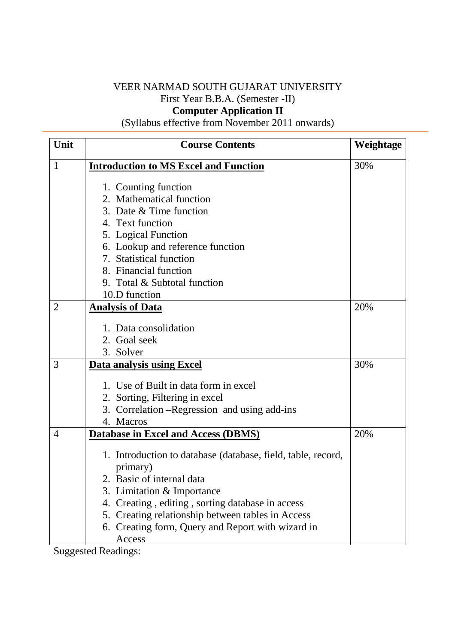## VEER NARMAD SOUTH GUJARAT UNIVERSITY First Year B.B.A. (Semester -II) **Computer Application II**

(Syllabus effective from November 2011 onwards)

| Unit           | <b>Course Contents</b>                                       | Weightage |
|----------------|--------------------------------------------------------------|-----------|
| $\mathbf{1}$   | <b>Introduction to MS Excel and Function</b>                 | 30%       |
|                | 1. Counting function                                         |           |
|                | 2. Mathematical function                                     |           |
|                | 3. Date & Time function                                      |           |
|                | 4. Text function                                             |           |
|                | 5. Logical Function                                          |           |
|                | 6. Lookup and reference function                             |           |
|                | 7. Statistical function                                      |           |
|                | 8. Financial function                                        |           |
|                | 9. Total & Subtotal function                                 |           |
|                | 10.D function                                                |           |
| $\overline{2}$ | <b>Analysis of Data</b>                                      | 20%       |
|                |                                                              |           |
|                | 1. Data consolidation                                        |           |
|                | 2. Goal seek                                                 |           |
| 3              | 3. Solver                                                    | 30%       |
|                | <b>Data analysis using Excel</b>                             |           |
|                | 1. Use of Built in data form in excel                        |           |
|                | 2. Sorting, Filtering in excel                               |           |
|                | 3. Correlation – Regression and using add-ins                |           |
|                | 4. Macros                                                    |           |
| $\overline{4}$ | <b>Database in Excel and Access (DBMS)</b>                   | 20%       |
|                |                                                              |           |
|                | 1. Introduction to database (database, field, table, record, |           |
|                | primary)                                                     |           |
|                | 2. Basic of internal data                                    |           |
|                | 3. Limitation & Importance                                   |           |
|                | 4. Creating, editing, sorting database in access             |           |
|                | 5. Creating relationship between tables in Access            |           |
|                | 6. Creating form, Query and Report with wizard in            |           |
|                | Access                                                       |           |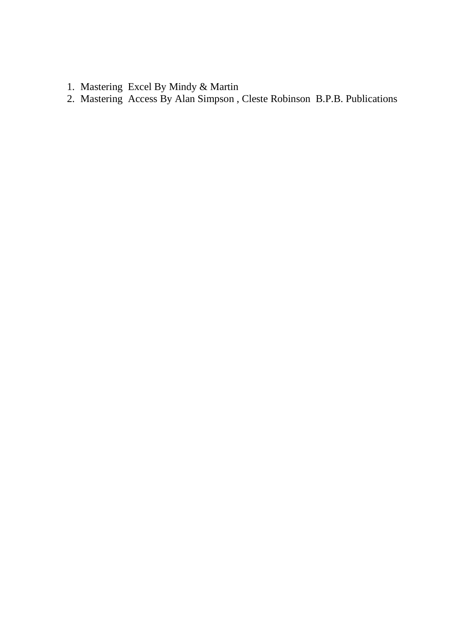- 1. Mastering Excel By Mindy & Martin
- 2. Mastering Access By Alan Simpson , Cleste Robinson B.P.B. Publications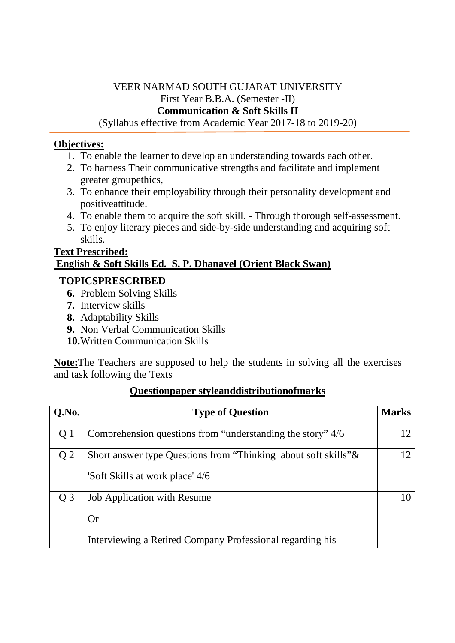# VEER NARMAD SOUTH GUJARAT UNIVERSITY First Year B.B.A. (Semester -II) **Communication & Soft Skills II**

(Syllabus effective from Academic Year 2017-18 to 2019-20)

## **Objectives:**

- 1. To enable the learner to develop an understanding towards each other.
- 2. To harness Their communicative strengths and facilitate and implement greater groupethics,
- 3. To enhance their employability through their personality development and positiveattitude.
- 4. To enable them to acquire the soft skill. Through thorough self-assessment.
- 5. To enjoy literary pieces and side-by-side understanding and acquiring soft skills.

## **Text Prescribed: English & Soft Skills Ed. S. P. Dhanavel (Orient Black Swan)**

## **TOPICSPRESCRIBED**

- **6.** Problem Solving Skills
- **7.** Interview skills
- **8.** Adaptability Skills
- **9.** Non Verbal Communication Skills
- **10.**Written Communication Skills

**Note:**The Teachers are supposed to help the students in solving all the exercises and task following the Texts

| Q.No.          | <b>Type of Question</b>                                                                               | <b>Marks</b> |
|----------------|-------------------------------------------------------------------------------------------------------|--------------|
| Q 1            | Comprehension questions from "understanding the story" 4/6                                            |              |
| Q <sub>2</sub> | Short answer type Questions from "Thinking about soft skills" &<br>'Soft Skills at work place' 4/6    | 12           |
| $Q_3$          | <b>Job Application with Resume</b><br>Or<br>Interviewing a Retired Company Professional regarding his | 10           |

## **Questionpaper styleanddistributionofmarks**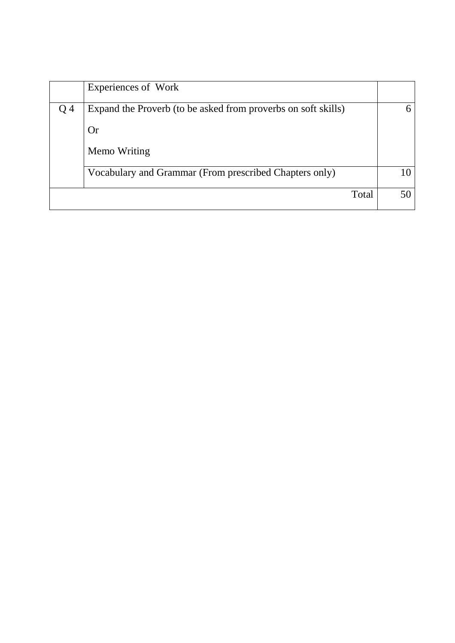|     | Experiences of Work                                           |  |
|-----|---------------------------------------------------------------|--|
| Q 4 | Expand the Proverb (to be asked from proverbs on soft skills) |  |
|     | <b>Or</b>                                                     |  |
|     | Memo Writing                                                  |  |
|     | Vocabulary and Grammar (From prescribed Chapters only)        |  |
|     | Total                                                         |  |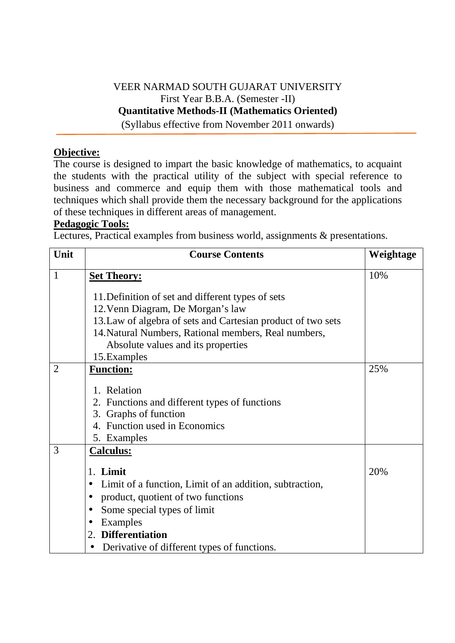# VEER NARMAD SOUTH GUJARAT UNIVERSITY First Year B.B.A. (Semester -II) **Quantitative Methods-II (Mathematics Oriented)**

(Syllabus effective from November 2011 onwards)

## **Objective:**

The course is designed to impart the basic knowledge of mathematics, to acquaint the students with the practical utility of the subject with special reference to business and commerce and equip them with those mathematical tools and techniques which shall provide them the necessary background for the applications of these techniques in different areas of management.

### **Pedagogic Tools:**

Lectures, Practical examples from business world, assignments & presentations.

| Unit           | <b>Course Contents</b>                                                                                                                                                                                                                                               | Weightage |
|----------------|----------------------------------------------------------------------------------------------------------------------------------------------------------------------------------------------------------------------------------------------------------------------|-----------|
| 1              | <b>Set Theory:</b>                                                                                                                                                                                                                                                   | 10%       |
|                | 11. Definition of set and different types of sets<br>12. Venn Diagram, De Morgan's law<br>13. Law of algebra of sets and Cartesian product of two sets<br>14. Natural Numbers, Rational members, Real numbers,<br>Absolute values and its properties<br>15. Examples |           |
| $\overline{2}$ | <b>Function:</b>                                                                                                                                                                                                                                                     | 25%       |
|                | 1. Relation<br>2. Functions and different types of functions<br>3. Graphs of function<br>4. Function used in Economics<br>5. Examples                                                                                                                                |           |
| 3              | <b>Calculus:</b>                                                                                                                                                                                                                                                     |           |
|                | Limit<br>1.                                                                                                                                                                                                                                                          | 20%       |
|                | Limit of a function, Limit of an addition, subtraction,<br>$\bullet$                                                                                                                                                                                                 |           |
|                | product, quotient of two functions<br>$\bullet$                                                                                                                                                                                                                      |           |
|                | Some special types of limit<br>$\bullet$                                                                                                                                                                                                                             |           |
|                | Examples<br>$\bullet$<br>2. Differentiation                                                                                                                                                                                                                          |           |
|                | Derivative of different types of functions.                                                                                                                                                                                                                          |           |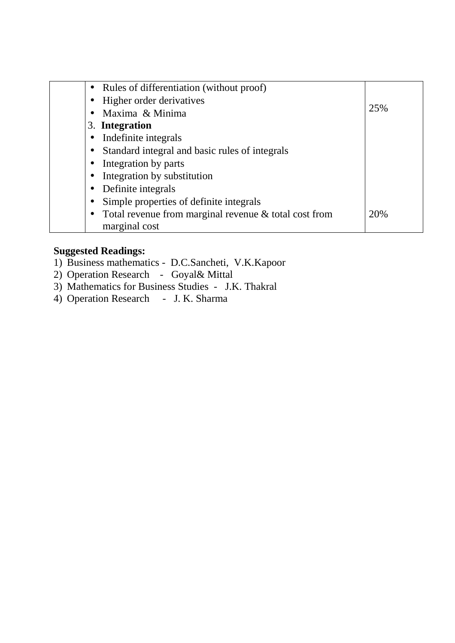| Rules of differentiation (without proof)                           |     |
|--------------------------------------------------------------------|-----|
| Higher order derivatives                                           |     |
| Maxima & Minima                                                    | 25% |
| 3. Integration                                                     |     |
| Indefinite integrals                                               |     |
| Standard integral and basic rules of integrals                     |     |
| Integration by parts                                               |     |
| Integration by substitution<br>$\bullet$                           |     |
| Definite integrals                                                 |     |
| Simple properties of definite integrals                            |     |
| Total revenue from marginal revenue & total cost from<br>$\bullet$ | 20% |
| marginal cost                                                      |     |

- 1) Business mathematics D.C.Sancheti, V.K.Kapoor
- 2) Operation Research Goyal& Mittal
- 3) Mathematics for Business Studies J.K. Thakral
- 4) Operation Research J. K. Sharma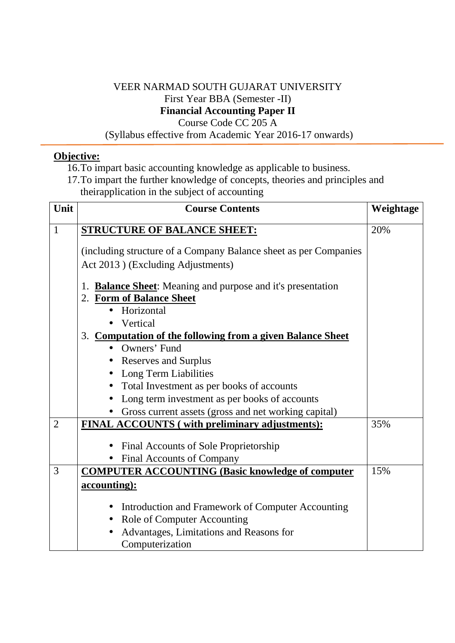### VEER NARMAD SOUTH GUJARAT UNIVERSITY First Year BBA (Semester -II) **Financial Accounting Paper II**  Course Code CC 205 A

(Syllabus effective from Academic Year 2016-17 onwards)

## **Objective:**

- 16.To impart basic accounting knowledge as applicable to business.
- 17.To impart the further knowledge of concepts, theories and principles and theirapplication in the subject of accounting

| Unit           | <b>Course Contents</b>                                           | Weightage |
|----------------|------------------------------------------------------------------|-----------|
| $\mathbf{1}$   | <b>STRUCTURE OF BALANCE SHEET:</b>                               | 20%       |
|                | (including structure of a Company Balance sheet as per Companies |           |
|                | Act 2013) (Excluding Adjustments)                                |           |
|                | <b>Balance Sheet:</b> Meaning and purpose and it's presentation  |           |
|                | 2. Form of Balance Sheet                                         |           |
|                | Horizontal                                                       |           |
|                | Vertical                                                         |           |
|                | 3. Computation of the following from a given Balance Sheet       |           |
|                | • Owners' Fund                                                   |           |
|                | <b>Reserves and Surplus</b><br>$\bullet$                         |           |
|                | Long Term Liabilities                                            |           |
|                | Total Investment as per books of accounts<br>$\bullet$           |           |
|                | Long term investment as per books of accounts<br>$\bullet$       |           |
|                | Gross current assets (gross and net working capital)             |           |
| $\overline{2}$ | FINAL ACCOUNTS (with preliminary adjustments):                   | 35%       |
|                | Final Accounts of Sole Proprietorship<br>$\bullet$               |           |
|                | Final Accounts of Company                                        |           |
| 3              | <b>COMPUTER ACCOUNTING (Basic knowledge of computer)</b>         | 15%       |
|                | accounting):                                                     |           |
|                |                                                                  |           |
|                | Introduction and Framework of Computer Accounting<br>$\bullet$   |           |
|                | Role of Computer Accounting<br>$\bullet$                         |           |
|                | Advantages, Limitations and Reasons for                          |           |
|                | Computerization                                                  |           |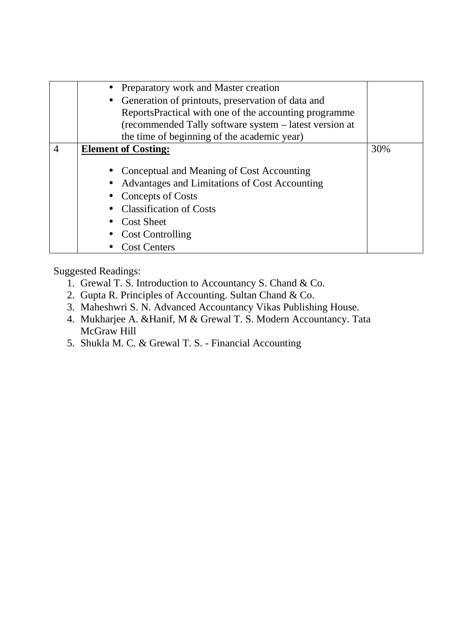|                | • Preparatory work and Master creation<br>Generation of printouts, preservation of data and<br>$\bullet$<br>ReportsPractical with one of the accounting programme<br>(recommended Tally software system – latest version at     |     |
|----------------|---------------------------------------------------------------------------------------------------------------------------------------------------------------------------------------------------------------------------------|-----|
|                | the time of beginning of the academic year)                                                                                                                                                                                     |     |
| $\overline{4}$ | <b>Element of Costing:</b>                                                                                                                                                                                                      | 30% |
|                | Conceptual and Meaning of Cost Accounting<br>Advantages and Limitations of Cost Accounting<br><b>Concepts of Costs</b><br><b>Classification of Costs</b><br><b>Cost Sheet</b><br><b>Cost Controlling</b><br><b>Cost Centers</b> |     |

- 1. Grewal T. S. Introduction to Accountancy S. Chand & Co.
- 2. Gupta R. Principles of Accounting. Sultan Chand & Co.
- 3. Maheshwri S. N. Advanced Accountancy Vikas Publishing House.
- 4. Mukharjee A. &Hanif, M & Grewal T. S. Modern Accountancy. Tata McGraw Hill
- 5. Shukla M. C. & Grewal T. S. Financial Accounting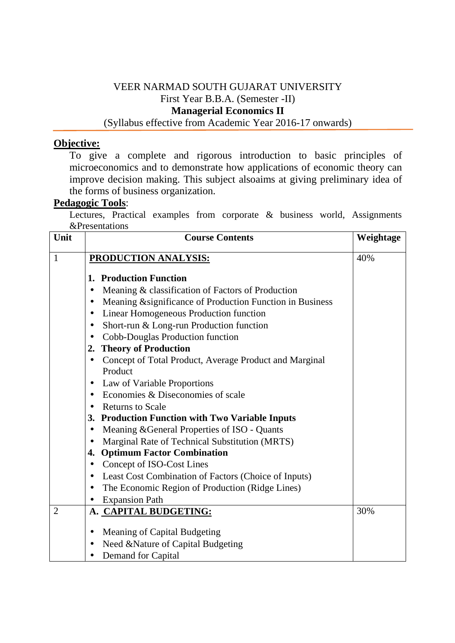### VEER NARMAD SOUTH GUJARAT UNIVERSITY First Year B.B.A. (Semester -II) **Managerial Economics II**  (Syllabus effective from Academic Year 2016-17 onwards)

### **Objective:**

To give a complete and rigorous introduction to basic principles of microeconomics and to demonstrate how applications of economic theory can improve decision making. This subject alsoaims at giving preliminary idea of the forms of business organization.

### **Pedagogic Tools**:

Lectures, Practical examples from corporate & business world, Assignments &Presentations

| Unit           | <b>Course Contents</b>                                                 | Weightage |
|----------------|------------------------------------------------------------------------|-----------|
| 1              | <b>PRODUCTION ANALYSIS:</b>                                            | 40%       |
|                | <b>Production Function</b><br>1.                                       |           |
|                | Meaning & classification of Factors of Production                      |           |
|                | Meaning & significance of Production Function in Business<br>$\bullet$ |           |
|                | Linear Homogeneous Production function<br>$\bullet$                    |           |
|                | Short-run & Long-run Production function<br>$\bullet$                  |           |
|                | Cobb-Douglas Production function                                       |           |
|                | <b>Theory of Production</b><br>2.                                      |           |
|                | Concept of Total Product, Average Product and Marginal<br>$\bullet$    |           |
|                | Product                                                                |           |
|                | Law of Variable Proportions                                            |           |
|                | Economies & Diseconomies of scale<br>$\bullet$                         |           |
|                | <b>Returns to Scale</b><br>$\bullet$                                   |           |
|                | 3. Production Function with Two Variable Inputs                        |           |
|                | Meaning & General Properties of ISO - Quants<br>$\bullet$              |           |
|                | Marginal Rate of Technical Substitution (MRTS)                         |           |
|                | 4. Optimum Factor Combination                                          |           |
|                | Concept of ISO-Cost Lines<br>$\bullet$                                 |           |
|                | Least Cost Combination of Factors (Choice of Inputs)<br>$\bullet$      |           |
|                | The Economic Region of Production (Ridge Lines)                        |           |
|                | <b>Expansion Path</b>                                                  |           |
| $\overline{2}$ | A. CAPITAL BUDGETING:                                                  | 30%       |
|                | Meaning of Capital Budgeting<br>$\bullet$                              |           |
|                | Need &Nature of Capital Budgeting                                      |           |
|                | Demand for Capital<br>$\bullet$                                        |           |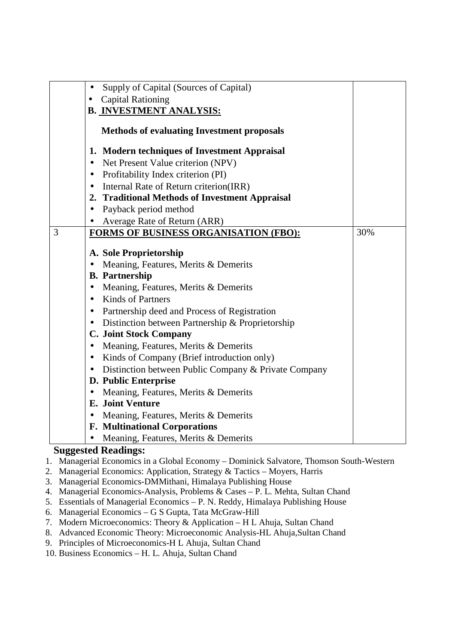| $\bullet$ | Supply of Capital (Sources of Capital)               |     |
|-----------|------------------------------------------------------|-----|
| $\bullet$ | <b>Capital Rationing</b>                             |     |
|           | <b>B. INVESTMENT ANALYSIS:</b>                       |     |
|           |                                                      |     |
|           | <b>Methods of evaluating Investment proposals</b>    |     |
|           | 1. Modern techniques of Investment Appraisal         |     |
| $\bullet$ | Net Present Value criterion (NPV)                    |     |
| $\bullet$ | Profitability Index criterion (PI)                   |     |
| $\bullet$ | Internal Rate of Return criterion(IRR)               |     |
|           | 2. Traditional Methods of Investment Appraisal       |     |
| $\bullet$ | Payback period method                                |     |
|           | Average Rate of Return (ARR)                         |     |
| 3         | <b>FORMS OF BUSINESS ORGANISATION (FBO):</b>         | 30% |
|           |                                                      |     |
|           | A. Sole Proprietorship                               |     |
|           | Meaning, Features, Merits & Demerits                 |     |
|           | <b>B.</b> Partnership                                |     |
| $\bullet$ | Meaning, Features, Merits & Demerits                 |     |
| $\bullet$ | <b>Kinds of Partners</b>                             |     |
| $\bullet$ | Partnership deed and Process of Registration         |     |
|           | • Distinction between Partnership & Proprietorship   |     |
|           | <b>C. Joint Stock Company</b>                        |     |
| $\bullet$ | Meaning, Features, Merits & Demerits                 |     |
| $\bullet$ | Kinds of Company (Brief introduction only)           |     |
| $\bullet$ | Distinction between Public Company & Private Company |     |
|           | <b>D. Public Enterprise</b>                          |     |
| $\bullet$ | Meaning, Features, Merits & Demerits                 |     |
|           | <b>E.</b> Joint Venture                              |     |
| $\bullet$ | Meaning, Features, Merits & Demerits                 |     |
|           | <b>F. Multinational Corporations</b>                 |     |
|           | Meaning, Features, Merits & Demerits                 |     |

- 1. Managerial Economics in a Global Economy Dominick Salvatore, Thomson South-Western
- 2. Managerial Economics: Application, Strategy & Tactics Moyers, Harris
- 3. Managerial Economics-DMMithani, Himalaya Publishing House
- 4. Managerial Economics-Analysis, Problems & Cases P. L. Mehta, Sultan Chand
- 5. Essentials of Managerial Economics P. N. Reddy, Himalaya Publishing House
- 6. Managerial Economics G S Gupta, Tata McGraw-Hill
- 7. Modern Microeconomics: Theory & Application H L Ahuja, Sultan Chand
- 8. Advanced Economic Theory: Microeconomic Analysis-HL Ahuja,Sultan Chand
- 9. Principles of Microeconomics-H L Ahuja, Sultan Chand
- 10. Business Economics H. L. Ahuja, Sultan Chand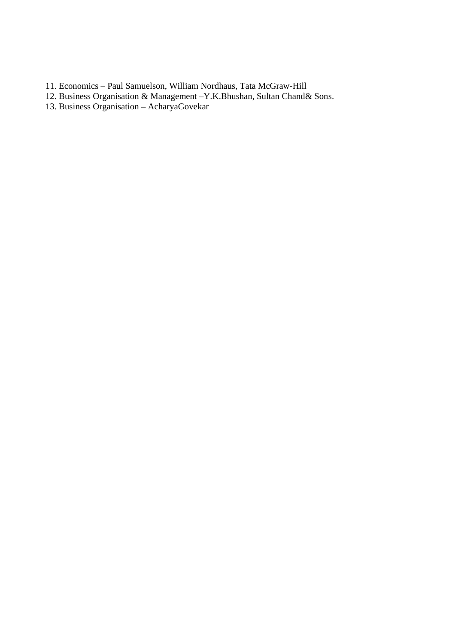- 11. Economics Paul Samuelson, William Nordhaus, Tata McGraw-Hill
- 12. Business Organisation & Management –Y.K.Bhushan, Sultan Chand& Sons.
- 13. Business Organisation AcharyaGovekar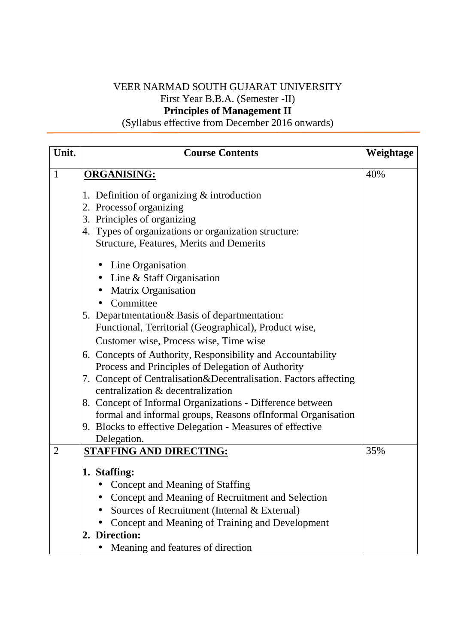# VEER NARMAD SOUTH GUJARAT UNIVERSITY First Year B.B.A. (Semester -II) **Principles of Management II**

(Syllabus effective from December 2016 onwards)

| Unit.          | <b>Course Contents</b>                                           | Weightage |
|----------------|------------------------------------------------------------------|-----------|
| $\mathbf{1}$   | <b>ORGANISING:</b>                                               | 40%       |
|                | 1. Definition of organizing $&$ introduction                     |           |
|                | 2. Processof organizing                                          |           |
|                | 3. Principles of organizing                                      |           |
|                | 4. Types of organizations or organization structure:             |           |
|                | <b>Structure, Features, Merits and Demerits</b>                  |           |
|                | • Line Organisation                                              |           |
|                | • Line & Staff Organisation                                      |           |
|                | <b>Matrix Organisation</b>                                       |           |
|                | Committee                                                        |           |
|                | 5. Departmentation & Basis of departmentation:                   |           |
|                | Functional, Territorial (Geographical), Product wise,            |           |
|                | Customer wise, Process wise, Time wise                           |           |
|                | 6. Concepts of Authority, Responsibility and Accountability      |           |
|                | Process and Principles of Delegation of Authority                |           |
|                | 7. Concept of Centralisation&Decentralisation. Factors affecting |           |
|                | centralization & decentralization                                |           |
|                | 8. Concept of Informal Organizations - Difference between        |           |
|                | formal and informal groups, Reasons of Informal Organisation     |           |
|                | 9. Blocks to effective Delegation - Measures of effective        |           |
|                | Delegation.                                                      |           |
| $\overline{2}$ | <b>STAFFING AND DIRECTING:</b>                                   | 35%       |
|                | 1. Staffing:                                                     |           |
|                | • Concept and Meaning of Staffing                                |           |
|                | Concept and Meaning of Recruitment and Selection                 |           |
|                | Sources of Recruitment (Internal & External)                     |           |
|                | Concept and Meaning of Training and Development                  |           |
|                | 2. Direction:                                                    |           |
|                | Meaning and features of direction                                |           |